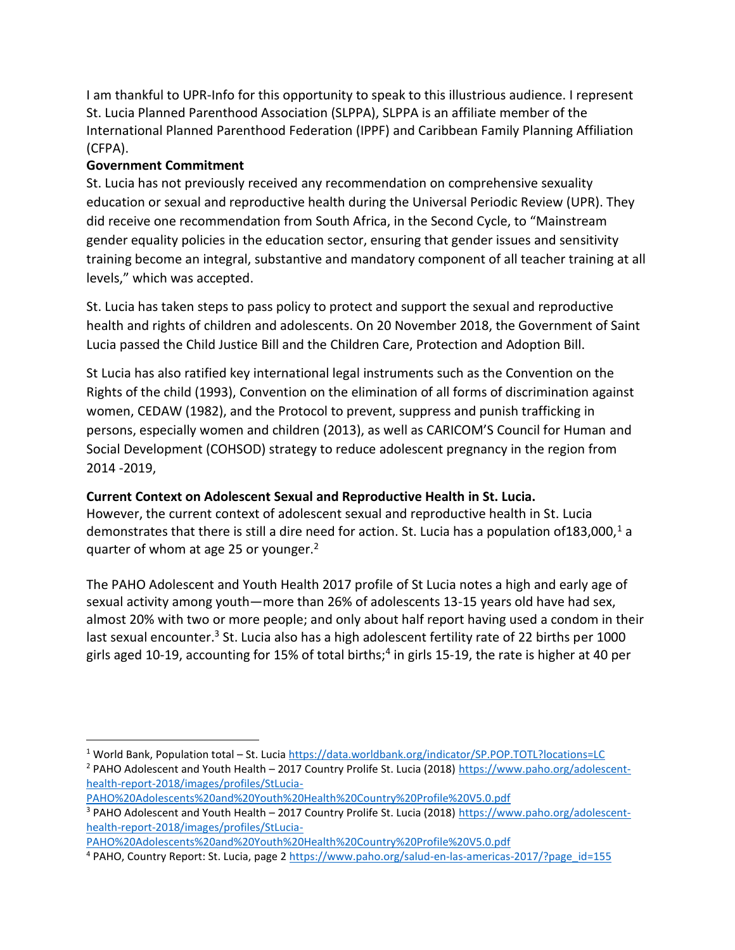I am thankful to UPR-Info for this opportunity to speak to this illustrious audience. I represent St. Lucia Planned Parenthood Association (SLPPA), SLPPA is an affiliate member of the International Planned Parenthood Federation (IPPF) and Caribbean Family Planning Affiliation (CFPA).

## **Government Commitment**

St. Lucia has not previously received any recommendation on comprehensive sexuality education or sexual and reproductive health during the Universal Periodic Review (UPR). They did receive one recommendation from South Africa, in the Second Cycle, to "Mainstream gender equality policies in the education sector, ensuring that gender issues and sensitivity training become an integral, substantive and mandatory component of all teacher training at all levels," which was accepted.

St. Lucia has taken steps to pass policy to protect and support the sexual and reproductive health and rights of children and adolescents. On 20 November 2018, the Government of Saint Lucia passed the Child Justice Bill and the Children Care, Protection and Adoption Bill.

St Lucia has also ratified key international legal instruments such as the Convention on the Rights of the child (1993), Convention on the elimination of all forms of discrimination against women, CEDAW (1982), and the Protocol to prevent, suppress and punish trafficking in persons, especially women and children (2013), as well as CARICOM'S Council for Human and Social Development (COHSOD) strategy to reduce adolescent pregnancy in the region from 2014 -2019,

## **Current Context on Adolescent Sexual and Reproductive Health in St. Lucia.**

However, the current context of adolescent sexual and reproductive health in St. Lucia demonstrates that there is still a dire need for action. St. Lucia has a population of 183,000,<sup>1</sup> a quarter of whom at age 25 or younger.<sup>2</sup>

The PAHO Adolescent and Youth Health 2017 profile of St Lucia notes a high and early age of sexual activity among youth—more than 26% of adolescents 13-15 years old have had sex, almost 20% with two or more people; and only about half report having used a condom in their last sexual encounter.<sup>3</sup> St. Lucia also has a high adolescent fertility rate of 22 births per 1000 girls aged 10-19, accounting for 15% of total births;<sup>4</sup> in girls 15-19, the rate is higher at 40 per

[PAHO%20Adolescents%20and%20Youth%20Health%20Country%20Profile%20V5.0.pdf](https://www.paho.org/adolescent-health-report-2018/images/profiles/StLucia-PAHO%20Adolescents%20and%20Youth%20Health%20Country%20Profile%20V5.0.pdf)

[PAHO%20Adolescents%20and%20Youth%20Health%20Country%20Profile%20V5.0.pdf](https://www.paho.org/adolescent-health-report-2018/images/profiles/StLucia-PAHO%20Adolescents%20and%20Youth%20Health%20Country%20Profile%20V5.0.pdf)

<sup>1</sup> World Bank, Population total – St. Luci[a https://data.worldbank.org/indicator/SP.POP.TOTL?locations=LC](https://data.worldbank.org/indicator/SP.POP.TOTL?locations=LC) <sup>2</sup> PAHO Adolescent and Youth Health – 2017 Country Prolife St. Lucia (2018) [https://www.paho.org/adolescent](https://www.paho.org/adolescent-health-report-2018/images/profiles/StLucia-PAHO%20Adolescents%20and%20Youth%20Health%20Country%20Profile%20V5.0.pdf)[health-report-2018/images/profiles/StLucia-](https://www.paho.org/adolescent-health-report-2018/images/profiles/StLucia-PAHO%20Adolescents%20and%20Youth%20Health%20Country%20Profile%20V5.0.pdf)

<sup>&</sup>lt;sup>3</sup> PAHO Adolescent and Youth Health – 2017 Country Prolife St. Lucia (2018) [https://www.paho.org/adolescent](https://www.paho.org/adolescent-health-report-2018/images/profiles/StLucia-PAHO%20Adolescents%20and%20Youth%20Health%20Country%20Profile%20V5.0.pdf)[health-report-2018/images/profiles/StLucia-](https://www.paho.org/adolescent-health-report-2018/images/profiles/StLucia-PAHO%20Adolescents%20and%20Youth%20Health%20Country%20Profile%20V5.0.pdf)

<sup>4</sup> PAHO, Country Report: St. Lucia, page 2 [https://www.paho.org/salud-en-las-americas-2017/?page\\_id=155](https://www.paho.org/salud-en-las-americas-2017/?page_id=155)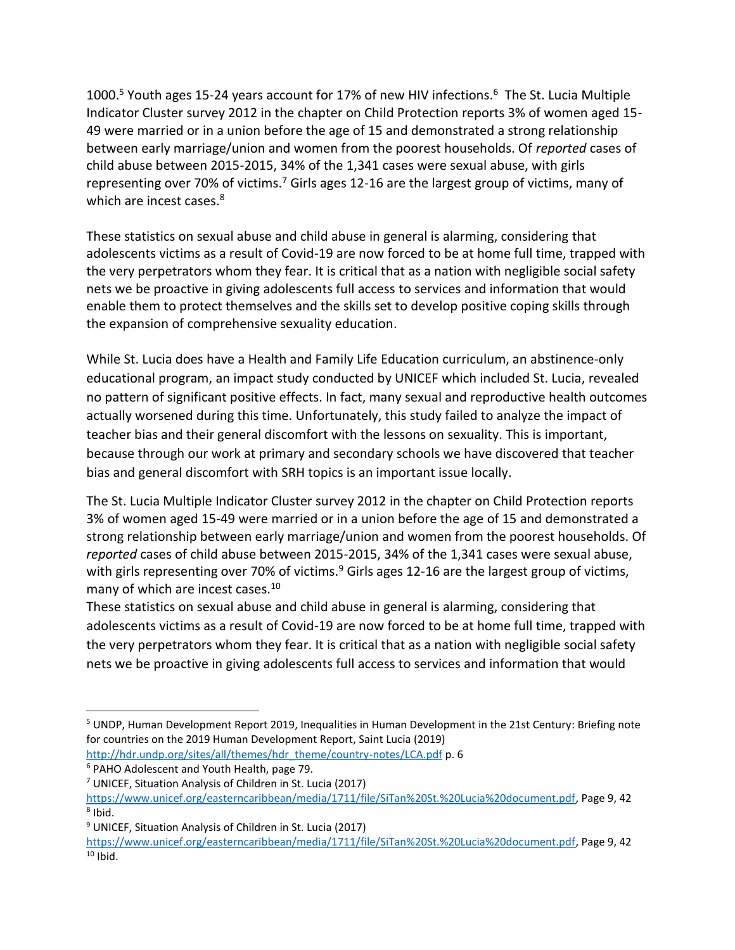1000.<sup>5</sup> Youth ages 15-24 years account for 17% of new HIV infections.<sup>6</sup> The St. Lucia Multiple Indicator Cluster survey 2012 in the chapter on Child Protection reports 3% of women aged 15- 49 were married or in a union before the age of 15 and demonstrated a strong relationship between early marriage/union and women from the poorest households. Of *reported* cases of child abuse between 2015-2015, 34% of the 1,341 cases were sexual abuse, with girls representing over 70% of victims.<sup>7</sup> Girls ages 12-16 are the largest group of victims, many of which are incest cases.<sup>8</sup>

These statistics on sexual abuse and child abuse in general is alarming, considering that adolescents victims as a result of Covid-19 are now forced to be at home full time, trapped with the very perpetrators whom they fear. It is critical that as a nation with negligible social safety nets we be proactive in giving adolescents full access to services and information that would enable them to protect themselves and the skills set to develop positive coping skills through the expansion of comprehensive sexuality education.

While St. Lucia does have a Health and Family Life Education curriculum, an abstinence-only educational program, an impact study conducted by UNICEF which included St. Lucia, revealed no pattern of significant positive effects. In fact, many sexual and reproductive health outcomes actually worsened during this time. Unfortunately, this study failed to analyze the impact of teacher bias and their general discomfort with the lessons on sexuality. This is important, because through our work at primary and secondary schools we have discovered that teacher bias and general discomfort with SRH topics is an important issue locally.

The St. Lucia Multiple Indicator Cluster survey 2012 in the chapter on Child Protection reports 3% of women aged 15-49 were married or in a union before the age of 15 and demonstrated a strong relationship between early marriage/union and women from the poorest households. Of *reported* cases of child abuse between 2015-2015, 34% of the 1,341 cases were sexual abuse, with girls representing over 70% of victims.<sup>9</sup> Girls ages 12-16 are the largest group of victims, many of which are incest cases.<sup>10</sup>

These statistics on sexual abuse and child abuse in general is alarming, considering that adolescents victims as a result of Covid-19 are now forced to be at home full time, trapped with the very perpetrators whom they fear. It is critical that as a nation with negligible social safety nets we be proactive in giving adolescents full access to services and information that would

[http://hdr.undp.org/sites/all/themes/hdr\\_theme/country-notes/LCA.pdf](http://hdr.undp.org/sites/all/themes/hdr_theme/country-notes/LCA.pdf) p. 6 <sup>6</sup> PAHO Adolescent and Youth Health, page 79.

<sup>5</sup> UNDP, Human Development Report 2019, Inequalities in Human Development in the 21st Century: Briefing note for countries on the 2019 Human Development Report, Saint Lucia (2019)

<sup>7</sup> UNICEF, Situation Analysis of Children in St. Lucia (2017)

[https://www.unicef.org/easterncaribbean/media/1711/file/SiTan%20St.%20Lucia%20document.pdf,](https://www.unicef.org/easterncaribbean/media/1711/file/SiTan%20St.%20Lucia%20document.pdf) Page 9, 42 <sup>8</sup> Ibid.

<sup>9</sup> UNICEF, Situation Analysis of Children in St. Lucia (2017)

[https://www.unicef.org/easterncaribbean/media/1711/file/SiTan%20St.%20Lucia%20document.pdf,](https://www.unicef.org/easterncaribbean/media/1711/file/SiTan%20St.%20Lucia%20document.pdf) Page 9, 42  $10$  Ibid.